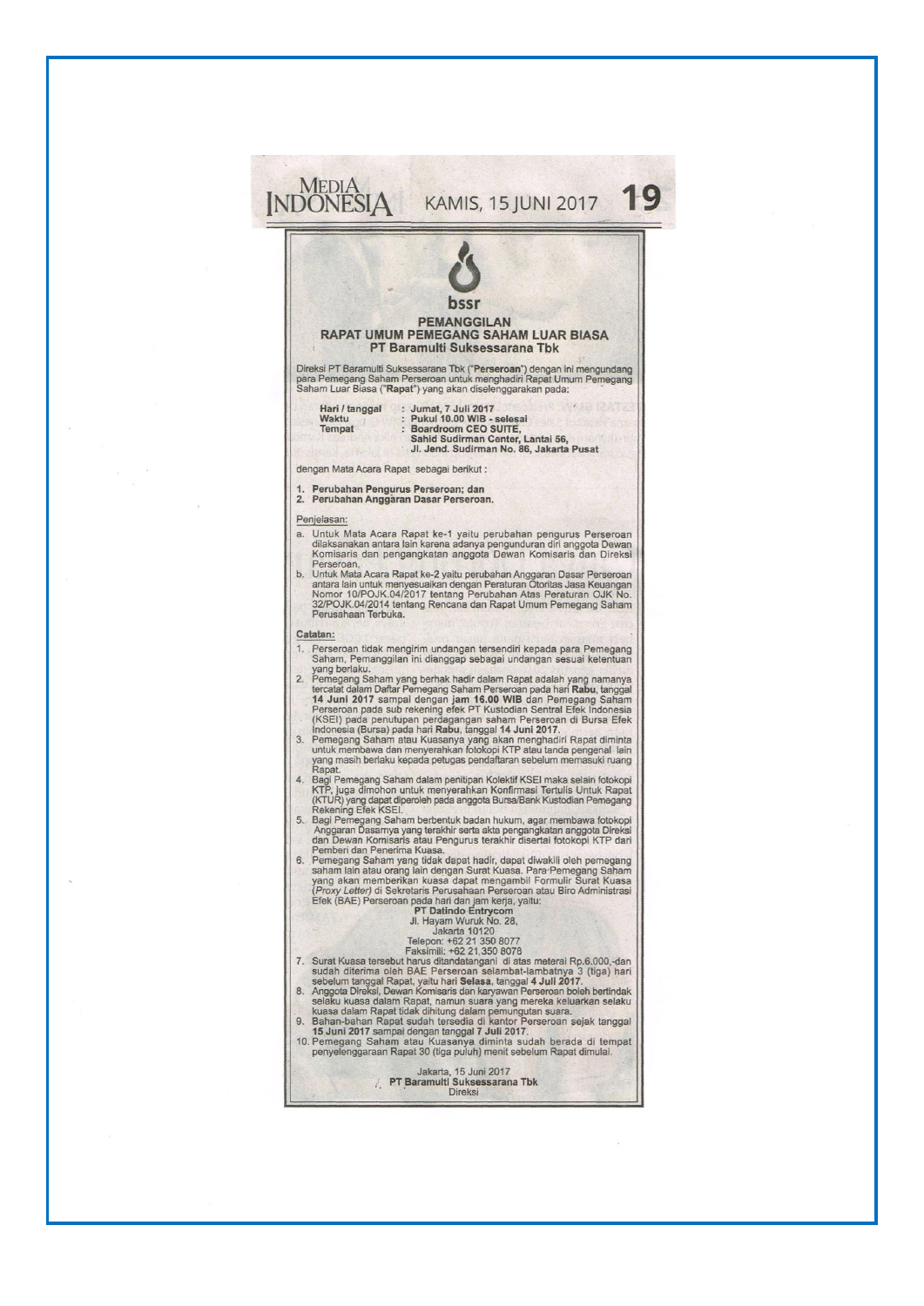| <b>PEMANGGILAN</b><br><b>RAPAT UMUM PEMEGANG SAHAM LUAR BIASA</b><br>PT Baramulti Suksessarana Tbk                                                                                                                                                                                                                                                                                                                 |
|--------------------------------------------------------------------------------------------------------------------------------------------------------------------------------------------------------------------------------------------------------------------------------------------------------------------------------------------------------------------------------------------------------------------|
| Direksi PT Baramulti Suksessarana Tbk ("Perseroan") dengan ini mengundang<br>para Pemegang Saham Perseroan untuk menghadiri Rapat Umum Pemegang<br>Saham Luar Biasa ("Rapat") yang akan diselenggarakan pada:                                                                                                                                                                                                      |
| Hari / tanggal : Jumat, 7 Juli 2017<br>: Pukul 10.00 WIB - selesai<br>Waktu<br>Tempat<br>: Boardroom CEO SUITE.<br>Sahid Sudirman Center, Lantai 56,<br>Jl. Jend. Sudirman No. 86, Jakarta Pusat                                                                                                                                                                                                                   |
| dengan Mata Acara Rapat sebagai berikut:                                                                                                                                                                                                                                                                                                                                                                           |
| 1. Perubahan Pengurus Perseroan; dan<br>2. Perubahan Anggaran Dasar Perseroan.                                                                                                                                                                                                                                                                                                                                     |
| Penjelasan:                                                                                                                                                                                                                                                                                                                                                                                                        |
| a. Untuk Mata Acara Rapat ke-1 yaitu perubahan pengurus Perseroan<br>dilaksanakan antara lain karena adanya pengunduran diri anggota Dewan<br>Komisaris dan pengangkatan anggota Dewan Komisaris dan Direksi<br>Perseroan.                                                                                                                                                                                         |
| b. Untuk Mata Acara Rapat ke-2 yaitu perubahan Anggaran Dasar Perseroan<br>antara lain untuk menyesuaikan dengan Peraturan Otoritas Jasa Keuangan<br>Nomor 10/POJK.04/2017 tentang Perubahan Atas Peraturan OJK No.<br>32/POJK.04/2014 tentang Rencana dan Rapat Umum Pemegang Saham<br>Perusahaan Terbuka.                                                                                                        |
| Catatan:                                                                                                                                                                                                                                                                                                                                                                                                           |
| 1. Perseroan tidak mengirim undangan tersendiri kepada para Pemegang<br>Saham, Pemanggilan ini dianggap sebagai undangan sesuai ketentuan<br>yang berlaku.                                                                                                                                                                                                                                                         |
| 2. Pemegang Saham yang berhak hadir dalam Rapat adalah yang namanya<br>tercatat dalam Daftar Pemegang Saham Perseroan pada hari Rabu, tanggal<br>14 Juni 2017 sampai dengan jam 16.00 WIB dan Pemegang Saham<br>Perseroan pada sub rekening efek PT Kustodian Sentral Efek Indonesia<br>(KSEI) pada penutupan perdagangan saham Perseroan di Bursa Efek<br>Indonesia (Bursa) pada hari Rabu, tanggal 14 Juni 2017. |
| 3. Pemegang Saham atau Kuasanya yang akan menghadiri Rapat diminta<br>untuk membawa dan menyerahkan fotokopi KTP atau tanda pengenal lain<br>yang masih berlaku kepada petugas pendaftaran sebelum memasuki ruang<br>Rapat.                                                                                                                                                                                        |
| 4. Bagi Pemegang Saham dalam penitipan Kolektif KSEI maka selain fotokopi<br>KTP, juga dimohon untuk menyerahkan Konfirmasi Tertulis Untuk Rapat<br>(KTUR) yang dapat diperoleh pada anggota Bursa/Bank Kustodian Pemegang<br>Rekening Efek KSEI.                                                                                                                                                                  |
| 5. Bagi Pemegang Saham berbentuk badan hukum, agar membawa fotokopi<br>Anggaran Dasarnya yang terakhir serta akta pengangkatan anggota Direksi<br>dan Dewan Komisaris atau Pengurus terakhir disertai fotokopi KTP dari<br>Pemberi dan Penerima Kuasa.                                                                                                                                                             |
| 6. Pemegang Saham yang tidak dapat hadir, dapat diwakili oleh pemegang<br>saham lain atau orang lain dengan Surat Kuasa. Para Pemegang Saham<br>yang akan memberikan kuasa dapat mengambil Formulir Surat Kuasa<br>(Proxy Letter) di Sekretaris Perusahaan Perseroan atau Biro Administrasi<br>Efek (BAE) Perseroan pada hari dan jam kerja, yaitu:                                                                |
| <b>PT Datindo Entrycom</b><br>Jl. Hayam Wuruk No. 28.<br>Jakarta 10120<br>Telepon: +62 21 350 8077                                                                                                                                                                                                                                                                                                                 |
| Faksimili: +62 21,350 8078<br>7. Surat Kuasa tersebut harus ditandatangani di atas meterai Rp.6.000,-dan<br>sudah diterima oleh BAE Perseroan selambat-lambatnya 3 (tiga) hari                                                                                                                                                                                                                                     |
| sebelum tanggal Rapat, yaitu hari Selasa, tanggal 4 Juli 2017.<br>8. Anggota Direksi, Dewan Komisaris dan karyawan Perseroan boleh bertindak<br>selaku kuasa dalam Rapat, namun suara yang mereka keluarkan selaku<br>kuasa dalam Rapat tidak dihitung dalam pemungutan suara.                                                                                                                                     |
| 9. Bahan-bahan Rapat sudah tersedia di kantor Perseroan sejak tanggal<br>15 Juni 2017 sampai dengan tanggal 7 Juli 2017.<br>10. Pemegang Saham atau Kuasanya diminta sudah berada di tempat<br>penyelenggaraan Rapat 30 (tiga puluh) menit sebelum Rapat dimulai.                                                                                                                                                  |
| Jakarta, 15 Juni 2017<br>PT Baramulti Suksessarana Tbk                                                                                                                                                                                                                                                                                                                                                             |

 $\pm$ 

 $\tilde{\mathcal{A}}$